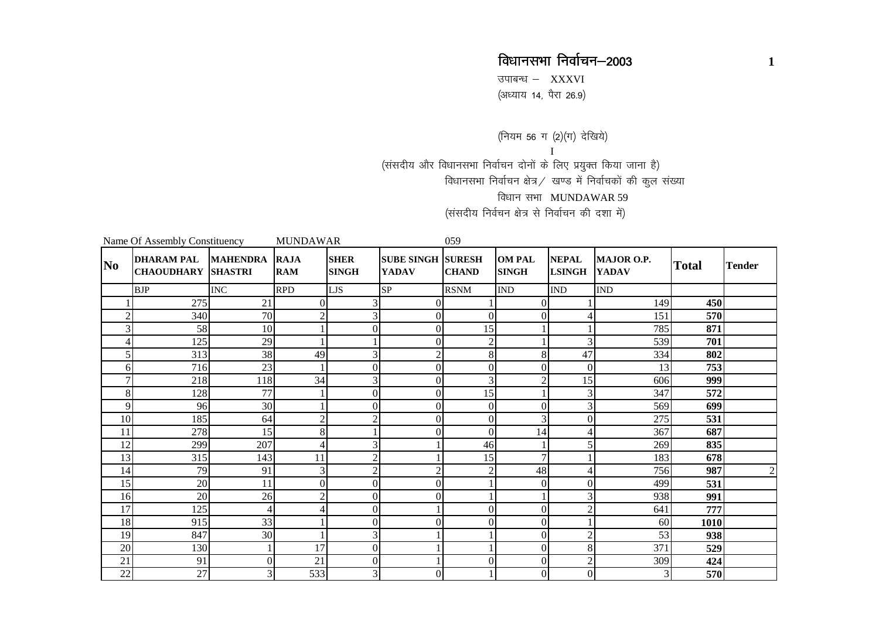उपाबन्ध $-$  XXXVI ,<br>(अध्याय 14, पैरा 26.9)

(नियम 56 ग (2)(ग) देखिये) I(संसदीय और विधानसभा निर्वाचन दोनों के लिए प्रयुक्त किया जाना है) विधानसभा निर्वाचन क्षेत्र / खण्ड में निर्वाचकों की कुल संख्या विधान सभा MUNDAWAR 59 (संसदीय निर्वचन क्षेत्र से निर्वाचन की दशा में)

|                | Name Of Assembly Constituency                  |                 | <b>MUNDAWAR</b>           |                             | 059                               |                               |                               |                               |                            |              |               |
|----------------|------------------------------------------------|-----------------|---------------------------|-----------------------------|-----------------------------------|-------------------------------|-------------------------------|-------------------------------|----------------------------|--------------|---------------|
| N <sub>0</sub> | <b>DHARAM PAL</b><br><b>CHAOUDHARY SHASTRI</b> | <b>MAHENDRA</b> | <b>RAJA</b><br><b>RAM</b> | <b>SHER</b><br><b>SINGH</b> | <b>SUBE SINGH</b><br><b>YADAV</b> | <b>SURESH</b><br><b>CHAND</b> | <b>OM PAL</b><br><b>SINGH</b> | <b>NEPAL</b><br><b>LSINGH</b> | MAJOR O.P.<br><b>YADAV</b> | <b>Total</b> | <b>Tender</b> |
|                | <b>BJP</b>                                     | <b>INC</b>      | <b>RPD</b>                | <b>LJS</b>                  | SP                                | <b>RSNM</b>                   | <b>IND</b>                    | <b>IND</b>                    | <b>IND</b>                 |              |               |
|                | 275                                            | 21              | $\boldsymbol{0}$          | $\overline{3}$              | $\Omega$                          |                               | $\Omega$                      |                               | 149                        | 450          |               |
| $\overline{2}$ | 340                                            | 70              | $\sqrt{2}$                | 3                           | $\Omega$                          | $\Omega$                      | 0                             | 4                             | 151                        | 570          |               |
| 3              | 58                                             | 10              | $\mathbf{1}$              | $\mathbf{0}$                | $\overline{0}$                    | 15                            |                               |                               | 785                        | 871          |               |
| 4              | 125                                            | 29              | $\mathbf{1}$              |                             | $\Omega$                          | $\overline{2}$                |                               | 3                             | 539                        | 701          |               |
| 5              | 313                                            | 38              | 49                        | $\overline{3}$              | $\overline{c}$                    | 8                             | 8                             | 47                            | 334                        | 802          |               |
| 6              | 716                                            | 23              | $\mathbf{1}$              | $\Omega$                    | $\Omega$                          | $\Omega$                      | 0                             | $\Omega$                      | 13                         | 753          |               |
| 7              | 218                                            | 118             | 34                        | 3                           | $\Omega$                          | 3                             | ◠                             | 15                            | 606                        | 999          |               |
| 8              | 128                                            | 77              | $\mathbf{1}$              | $\mathbf{0}$                | $\overline{0}$                    | 15                            |                               | 3                             | 347                        | 572          |               |
| 9              | 96                                             | 30              | 1                         | $\Omega$                    | $\Omega$                          | $\Omega$                      | $\theta$                      | 3                             | 569                        | 699          |               |
| 10             | 185<br>278                                     | 64<br>15        | $\overline{c}$<br>8       | $\mathbf{2}$                | $\overline{0}$                    | $\boldsymbol{0}$<br>$\Omega$  | 3                             | $\overline{0}$                | 275                        | 531          |               |
| 11<br>12       | 299                                            | 207             | 4                         | 3                           |                                   | 46                            | 14                            | 4<br>5                        | 367<br>269                 | 687<br>835   |               |
| 13             | 315                                            | 143             | 11                        | $\overline{2}$              |                                   | 15                            | 7                             |                               | 183                        | 678          |               |
| 14             | 79                                             | 91              | 3                         | $\overline{2}$              | 2                                 | $\overline{c}$                | 48                            | 4                             | 756                        | 987          | $\mathbf{2}$  |
| 15             | 20                                             | 11              | $\boldsymbol{0}$          | $\Omega$                    | $\Omega$                          |                               | 0                             | $\Omega$                      | 499                        | 531          |               |
| 16             | 20                                             | 26              | $\overline{c}$            | $\overline{0}$              | $\Omega$                          |                               |                               | 3                             | 938                        | 991          |               |
| 17             | 125                                            | $\overline{4}$  | 4                         | $\mathbf{0}$                |                                   | $\Omega$                      | $\theta$                      | $\mathfrak{2}$                | 641                        | 777          |               |
| 18             | 915                                            | 33              | 1                         | $\mathbf{0}$                | $\Omega$                          | $\Omega$                      | $\theta$                      |                               | 60                         | 1010         |               |
| 19             | 847                                            | 30              | $\mathbf{1}$              | 3                           |                                   |                               | 0                             | $\overline{c}$                | 53                         | 938          |               |
| 20             | 130                                            |                 | 17                        | $\mathbf{0}$                |                                   |                               | $\Omega$                      | 8                             | 371                        | 529          |               |
| 21             | 91                                             | $\mathbf{0}$    | 21                        | $\overline{0}$              |                                   | $\Omega$                      | $\Omega$                      | $\overline{2}$                | 309                        | 424          |               |
| 22             | 27                                             | 3               | 533                       | 3                           | $\Omega$                          |                               | 0                             | $\overline{0}$                | 3                          | 570          |               |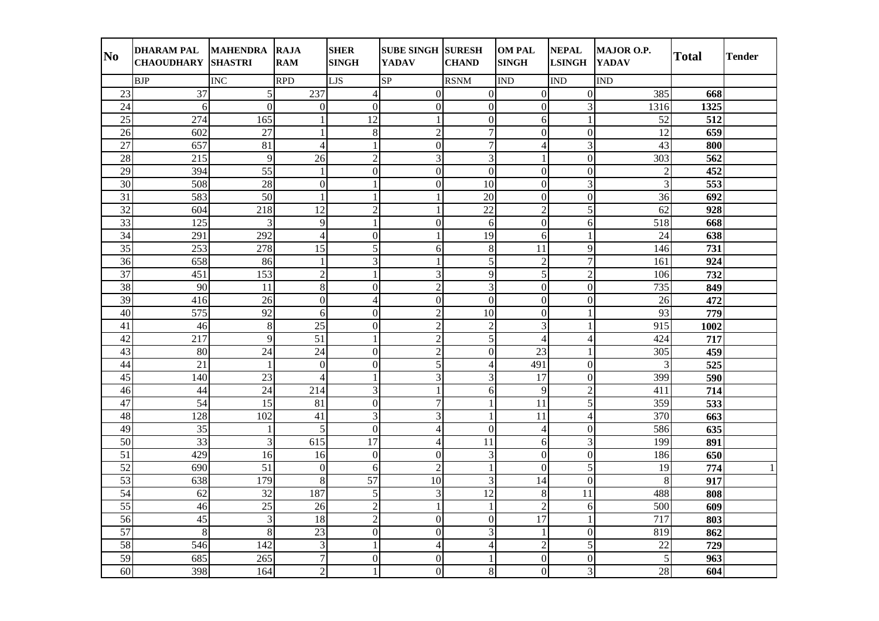| N <sub>0</sub>  | DHARAM PAL MAHENDRA RAJA<br><b>CHAOUDHARY SHASTRI</b> |                             | <b>RAM</b>       | <b>SHER</b><br><b>SINGH</b> | <b>SUBE SINGH SURESH</b><br><b>YADAV</b> | <b>CHAND</b>            | <b>OM PAL</b><br><b>SINGH</b> | <b>NEPAL</b><br><b>LSINGH</b> | MAJOR O.P.<br><b>YADAV</b> | <b>Total</b> | <b>Tender</b> |
|-----------------|-------------------------------------------------------|-----------------------------|------------------|-----------------------------|------------------------------------------|-------------------------|-------------------------------|-------------------------------|----------------------------|--------------|---------------|
|                 | <b>BJP</b>                                            | <b>INC</b>                  | <b>RPD</b>       | <b>LJS</b>                  | SP                                       | <b>RSNM</b>             | <b>IND</b>                    | <b>IND</b>                    | <b>IND</b>                 |              |               |
| 23              | 37                                                    | $\sqrt{5}$                  | 237              | $\overline{4}$              | $\overline{0}$                           | $\overline{0}$          | $\mathbf{0}$                  | $\overline{0}$                | 385                        | 668          |               |
| 24              | 6                                                     | $\overline{0}$              | $\boldsymbol{0}$ | $\mathbf{0}$                | $\mathbf{0}$                             | $\overline{0}$          | $\overline{0}$                | $\overline{\mathbf{3}}$       | 1316                       | 1325         |               |
| $\overline{25}$ | $\overline{274}$                                      | 165                         | $\mathbf{1}$     | $\overline{12}$             | $\mathbf{1}$                             | $\overline{0}$          | 6                             | $\mathbf{1}$                  | $\overline{52}$            | 512          |               |
| 26              | 602                                                   | 27                          | $\mathbf{1}$     | $8\,$                       | $\overline{2}$                           | $\overline{7}$          | $\overline{0}$                | $\overline{0}$                | 12                         | 659          |               |
| 27              | 657                                                   | 81                          | $\overline{4}$   | $\mathbf{1}$                | $\mathbf{0}$                             | $\overline{7}$          | $\overline{4}$                | $\overline{3}$                | 43                         | 800          |               |
| 28              | 215                                                   | 9                           | 26               | $\sqrt{2}$                  | 3                                        | $\mathfrak{Z}$          | $\mathbf{1}$                  | $\overline{0}$                | 303                        | 562          |               |
| 29              | 394                                                   | 55                          | $\mathbf{1}$     | $\mathbf{0}$                | $\mathbf{0}$                             | $\mathbf{0}$            | $\theta$                      | $\overline{0}$                | $\overline{c}$             | 452          |               |
| 30              | 508                                                   | 28                          | $\boldsymbol{0}$ | $\mathbf{1}$                | $\overline{0}$                           | 10                      | $\overline{0}$                | $\overline{3}$                | $\mathfrak{Z}$             | 553          |               |
| 31              | 583                                                   | 50                          | $\mathbf{1}$     | $\mathbf{1}$                | $\mathbf{1}$                             | 20                      | $\boldsymbol{0}$              | $\overline{0}$                | 36                         | 692          |               |
| 32              | 604                                                   | 218                         | 12               | $\overline{2}$              | 1                                        | $\overline{22}$         | $\overline{2}$                | $\overline{5}$                | 62                         | 928          |               |
| 33              | 125                                                   | 3                           | 9                | $\mathbf{1}$                | $\boldsymbol{0}$                         | 6                       | $\overline{0}$                | 6                             | 518                        | 668          |               |
| 34              | 291                                                   | 292                         | $\overline{4}$   | $\mathbf{0}$                | $\mathbf{1}$                             | 19                      | 6                             | $\mathbf{1}$                  | 24                         | 638          |               |
| $\overline{35}$ | 253                                                   | 278                         | $\overline{15}$  | 5                           | 6                                        | $8\,$                   | 11                            | 9                             | 146                        | 731          |               |
| 36              | 658                                                   | 86                          | $\mathbf{1}$     | 3                           | 1                                        | 5                       | $\overline{c}$                | $\overline{7}$                | 161                        | 924          |               |
| 37              | 451                                                   | 153                         | $\sqrt{2}$       | $\mathbf{1}$                | 3                                        | 9                       | 5                             | $\overline{c}$                | 106                        | 732          |               |
| 38              | 90                                                    | 11                          | $\,8\,$          | $\boldsymbol{0}$            | $\sqrt{2}$                               | 3                       | $\boldsymbol{0}$              | $\overline{0}$                | 735                        | 849          |               |
| 39              | 416                                                   | 26                          | $\boldsymbol{0}$ | $\overline{4}$              | $\boldsymbol{0}$                         | $\boldsymbol{0}$        | $\boldsymbol{0}$              | $\overline{0}$                | 26                         | 472          |               |
| $\overline{40}$ | 575                                                   | $\overline{92}$             | 6                | $\mathbf{0}$                | $\overline{2}$                           | $\overline{10}$         | $\overline{0}$                | $\mathbf{1}$                  | 93                         | 779          |               |
| 41              | 46                                                    | $8\phantom{.}$              | $\overline{25}$  | $\overline{0}$              | $\overline{2}$                           | $\overline{2}$          | $\overline{3}$                | 1                             | $\overline{915}$           | 1002         |               |
| $\overline{42}$ | $\overline{217}$                                      | 9                           | 51               | $\mathbf{1}$                | $\sqrt{2}$                               | 5                       | $\overline{4}$                | $\overline{4}$                | 424                        | 717          |               |
| 43              | 80                                                    | 24                          | 24               | $\overline{0}$              | $\overline{2}$                           | $\boldsymbol{0}$        | 23                            | $\mathbf{1}$                  | 305                        | 459          |               |
| 44              | $\overline{21}$                                       | $\mathbf{1}$                | $\boldsymbol{0}$ | $\mathbf{0}$                | $\overline{5}$                           | $\overline{4}$          | 491                           | $\overline{0}$                | $\mathfrak{Z}$             | 525          |               |
| $\overline{45}$ | 140                                                   | $\overline{23}$             | $\overline{4}$   | $\mathbf{1}$                | $\overline{3}$                           | $\overline{3}$          | $\overline{17}$               | $\overline{0}$                | 399                        | 590          |               |
| 46              | 44                                                    | $\overline{24}$             | 214              | 3                           | $\mathbf{1}$                             | $\sqrt{6}$              | 9                             | $\overline{2}$                | 411                        | 714          |               |
| 47              | $\overline{54}$                                       | 15                          | 81               | $\boldsymbol{0}$            | $\tau$                                   | $\mathbf{1}$            | 11                            | $\overline{5}$                | 359                        | 533          |               |
| 48              | 128                                                   | 102                         | 41               | $\overline{3}$              | 3                                        | 1                       | 11                            | $\overline{4}$                | 370                        | 663          |               |
| 49              | $\overline{35}$                                       | $\mathbf{1}$                | 5                | $\mathbf{0}$                | $\overline{4}$                           | $\mathbf{0}$            | $\overline{4}$                | $\overline{0}$                | 586                        | 635          |               |
| $\overline{50}$ | $\overline{33}$                                       | 3                           | 615              | $\overline{17}$             | 4                                        | 11                      | 6                             | $\overline{3}$                | 199                        | 891          |               |
| $\overline{51}$ | 429                                                   | 16                          | 16               | $\overline{0}$              | $\mathbf{0}$                             | 3                       | $\overline{0}$                | $\overline{0}$                | 186                        | 650          |               |
| 52              | 690                                                   | 51                          | $\boldsymbol{0}$ | 6                           | $\overline{2}$                           | 1                       | $\mathbf{0}$                  | $\overline{5}$                | 19                         | 774          | $\mathbf{1}$  |
| $\overline{53}$ | 638                                                   | 179                         | 8                | $\overline{57}$             | $\overline{10}$                          | $\overline{\mathbf{3}}$ | 14                            | $\overline{0}$                | 8                          | 917          |               |
| 54              | 62                                                    | 32                          | 187              | 5                           | $\mathfrak{Z}$                           | 12                      | 8                             | 11                            | 488                        | 808          |               |
| $\overline{55}$ | 46                                                    | 25                          | 26               | $\overline{2}$              | $\mathbf{1}$                             | 1                       | $\overline{2}$                | 6                             | 500                        | 609          |               |
| 56              | 45                                                    | $\ensuremath{\mathfrak{Z}}$ | 18               | $\boldsymbol{2}$            | $\overline{0}$                           | $\overline{0}$          | $\overline{17}$               | $\mathbf{1}$                  | 717                        | 803          |               |
| 57              | 8                                                     | 8                           | 23               | $\mathbf{0}$                | $\mathbf{0}$                             | $\mathfrak{Z}$          |                               | $\mathbf{0}$                  | 819                        | 862          |               |
| 58              | 546                                                   | 142                         | $\mathfrak{Z}$   | $\mathbf{1}$                | $\overline{4}$                           | $\overline{4}$          | $\overline{c}$                | 5                             | 22                         | 729          |               |
| $\overline{59}$ | 685                                                   | 265                         | $\overline{7}$   | $\boldsymbol{0}$            | $\boldsymbol{0}$                         |                         | $\boldsymbol{0}$              | $\overline{0}$                | 5                          | 963          |               |
| 60              | 398                                                   | 164                         | $\overline{2}$   | $\mathbf{1}$                | $\overline{0}$                           | $8\,$                   | $\overline{0}$                | $\overline{3}$                | 28                         | 604          |               |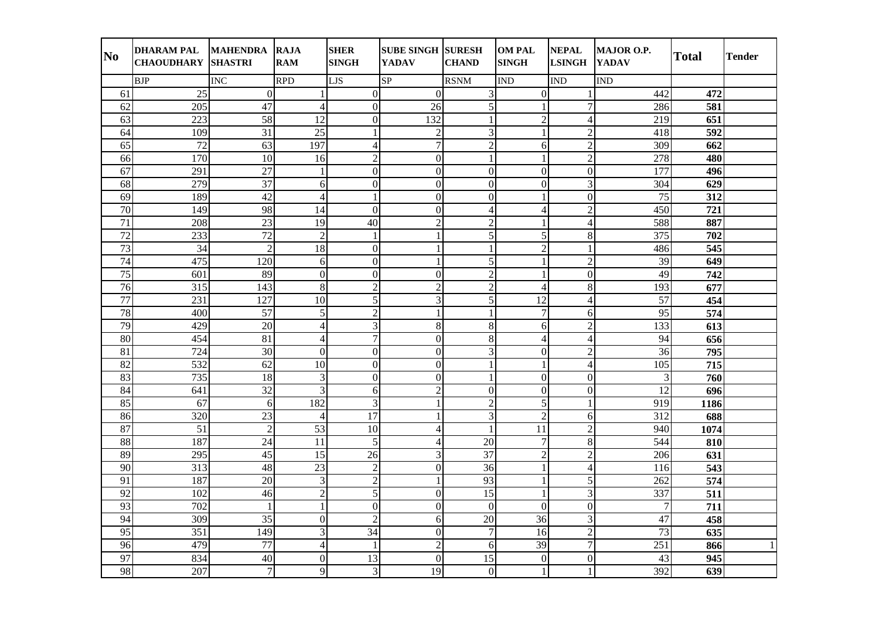| N <sub>0</sub>  | DHARAM PAL MAHENDRA RAJA<br><b>CHAOUDHARY SHASTRI</b> |                 | <b>RAM</b>       | <b>SHER</b><br><b>SINGH</b> | <b>SUBE SINGH SURESH</b><br><b>YADAV</b> | <b>CHAND</b>     | <b>OM PAL</b><br><b>SINGH</b> | <b>NEPAL</b><br><b>LSINGH</b> | MAJOR O.P.<br><b>YADAV</b> | <b>Total</b>     | <b>Tender</b> |
|-----------------|-------------------------------------------------------|-----------------|------------------|-----------------------------|------------------------------------------|------------------|-------------------------------|-------------------------------|----------------------------|------------------|---------------|
|                 | <b>BJP</b>                                            | <b>INC</b>      | <b>RPD</b>       | <b>LJS</b>                  | SP                                       | <b>RSNM</b>      | <b>IND</b>                    | <b>IND</b>                    | <b>IND</b>                 |                  |               |
| 61              | 25                                                    | $\overline{0}$  | $\mathbf{1}$     | $\overline{0}$              | $\overline{0}$                           | 3                | $\mathbf{0}$                  | 1                             | 442                        | 472              |               |
| 62              | 205                                                   | 47              | $\overline{4}$   | $\mathbf{0}$                | 26                                       | $\overline{5}$   | 1                             | $\overline{7}$                | 286                        | 581              |               |
| $\overline{63}$ | 223                                                   | $\overline{58}$ | $\overline{12}$  | $\overline{0}$              | 132                                      | $\mathbf{1}$     | $\overline{c}$                | $\overline{\mathcal{L}}$      | 219                        | 651              |               |
| 64              | 109                                                   | 31              | 25               | $\mathbf{1}$                | $\overline{2}$                           | 3                | $\mathbf{1}$                  | $\overline{2}$                | 418                        | 592              |               |
| 65              | 72                                                    | 63              | 197              | $\overline{4}$              | $\overline{7}$                           | $\overline{c}$   | 6                             | $\overline{c}$                | 309                        | 662              |               |
| 66              | 170                                                   | 10              | 16               | $\boldsymbol{2}$            | $\mathbf{0}$                             |                  | $\mathbf{1}$                  | $\overline{2}$                | 278                        | 480              |               |
| 67              | 291                                                   | 27              | $\mathbf{1}$     | $\mathbf{0}$                | $\mathbf{0}$                             | $\boldsymbol{0}$ | $\theta$                      | $\overline{0}$                | 177                        | 496              |               |
| 68              | 279                                                   | $\overline{37}$ | 6                | $\mathbf{0}$                | $\mathbf{0}$                             | $\overline{0}$   | $\overline{0}$                | $\overline{\mathbf{3}}$       | 304                        | 629              |               |
| 69              | 189                                                   | 42              | $\overline{4}$   | $\mathbf{1}$                | $\mathbf{0}$                             | $\boldsymbol{0}$ | 1                             | $\overline{0}$                | 75                         | 312              |               |
| 70              | 149                                                   | 98              | 14               | $\mathbf{0}$                | $\mathbf{0}$                             | $\overline{4}$   | $\overline{4}$                | $\overline{2}$                | 450                        | 721              |               |
| 71              | 208                                                   | 23              | 19               | 40                          | $\sqrt{2}$                               | $\overline{c}$   | 1                             | $\overline{4}$                | 588                        | 887              |               |
| 72              | 233                                                   | 72              | $\overline{2}$   | $\mathbf{1}$                | $\mathbf{1}$                             | 5                | 5                             | 8                             | 375                        | 702              |               |
| $\overline{73}$ | $\overline{34}$                                       | $\overline{2}$  | $\overline{18}$  | $\overline{0}$              | $\mathbf{1}$                             | $\mathbf{1}$     | $\overline{2}$                | $\mathbf{1}$                  | 486                        | $\overline{545}$ |               |
| 74              | 475                                                   | 120             | 6                | $\mathbf{0}$                | $\mathbf{1}$                             | 5                | $\mathbf{1}$                  | $\overline{2}$                | 39                         | 649              |               |
| 75              | 601                                                   | 89              | $\boldsymbol{0}$ | $\boldsymbol{0}$            | $\mathbf{0}$                             | $\overline{2}$   | 1                             | $\mathbf{0}$                  | 49                         | 742              |               |
| 76              | 315                                                   | 143             | $\,8\,$          | $\sqrt{2}$                  | $\sqrt{2}$                               | $\overline{c}$   | $\overline{4}$                | $\overline{8}$                | 193                        | 677              |               |
| 77              | 231                                                   | 127             | $\overline{10}$  | $\overline{5}$              | 3                                        | $\overline{5}$   | $\overline{12}$               | $\overline{4}$                | 57                         | 454              |               |
| 78              | 400                                                   | $\overline{57}$ | 5                | $\overline{2}$              | $\mathbf{1}$                             |                  | $\overline{7}$                | 6                             | $\overline{95}$            | 574              |               |
| 79              | 429                                                   | $\overline{20}$ | $\overline{4}$   | $\overline{3}$              | 8                                        | $\overline{8}$   | 6                             | $\overline{2}$                | 133                        | 613              |               |
| 80              | 454                                                   | 81              | $\overline{4}$   | $\overline{7}$              | $\mathbf{0}$                             | $8\,$            | $\overline{4}$                | $\overline{4}$                | 94                         | 656              |               |
| 81              | 724                                                   | 30              | $\mathbf{0}$     | $\Omega$                    | $\overline{0}$                           | 3                | $\theta$                      | $\overline{2}$                | 36                         | 795              |               |
| 82              | 532                                                   | 62              | $\overline{10}$  | $\mathbf{0}$                | $\boldsymbol{0}$                         |                  |                               | $\overline{4}$                | 105                        | 715              |               |
| 83              | $\overline{735}$                                      | 18              | $\mathfrak{Z}$   | $\mathbf{0}$                | $\overline{0}$                           |                  | $\overline{0}$                | $\overline{0}$                | 3                          | 760              |               |
| 84              | $\overline{641}$                                      | $\overline{32}$ | $\mathfrak{Z}$   | 6                           | $\overline{2}$                           | $\mathbf{0}$     | $\mathbf{0}$                  | $\overline{0}$                | $\overline{12}$            | 696              |               |
| 85              | 67                                                    | 6               | 182              | 3                           | $\mathbf{1}$                             | $\overline{c}$   | 5                             | $\mathbf{1}$                  | 919                        | 1186             |               |
| 86              | 320                                                   | 23              | $\overline{4}$   | $\overline{17}$             | $\mathbf{1}$                             | 3                | $\overline{2}$                | 6                             | 312                        | 688              |               |
| 87              | $\overline{51}$                                       | $\sqrt{2}$      | 53               | 10                          | $\overline{4}$                           |                  | 11                            | $\overline{2}$                | 940                        | 1074             |               |
| 88              | 187                                                   | 24              | 11               | $\overline{5}$              | 4                                        | 20               | 7                             | $\overline{8}$                | 544                        | 810              |               |
| 89              | 295                                                   | $\overline{45}$ | 15               | $\overline{26}$             | $\mathfrak{Z}$                           | 37               | $\overline{2}$                | $\overline{2}$                | 206                        | 631              |               |
| 90              | 313                                                   | 48              | 23               | $\sqrt{2}$                  | $\boldsymbol{0}$                         | 36               | 1                             | $\overline{4}$                | 116                        | 543              |               |
| 91              | 187                                                   | $\overline{20}$ | $\mathfrak{Z}$   | $\overline{2}$              | $\mathbf{1}$                             | $\overline{93}$  | 1                             | $\overline{5}$                | 262                        | 574              |               |
| 92              | 102                                                   | 46              | $\overline{2}$   | 5                           | $\boldsymbol{0}$                         | $\overline{15}$  | $\mathbf{1}$                  | $\overline{3}$                | 337                        | 511              |               |
| 93              | $\overline{702}$                                      | $\mathbf{1}$    | $\mathbf{1}$     | $\mathbf{0}$                | $\mathbf{0}$                             | $\mathbf{0}$     | $\overline{0}$                | $\overline{0}$                | $\overline{7}$             | 711              |               |
| 94              | 309                                                   | 35              | $\overline{0}$   | $\boldsymbol{2}$            | 6                                        | 20               | 36                            | 3                             | 47                         | 458              |               |
| 95              | 351                                                   | 149             | $\mathfrak{Z}$   | 34                          | $\mathbf{0}$                             | $\overline{7}$   | 16                            | $\overline{c}$                | 73                         | 635              |               |
| 96              | 479                                                   | 77              | $\overline{4}$   | 1                           | $\overline{c}$                           | 6                | 39                            | $\overline{7}$                | 251                        | 866              | $\mathbf{1}$  |
| 97              | 834                                                   | 40              | $\boldsymbol{0}$ | $\overline{13}$             | $\boldsymbol{0}$                         | $\overline{15}$  | $\boldsymbol{0}$              | $\overline{0}$                | 43                         | 945              |               |
| 98              | 207                                                   | $\overline{7}$  | 9                | 3                           | 19                                       | $\overline{0}$   | $\mathbf{1}$                  | $\mathbf{1}$                  | 392                        | 639              |               |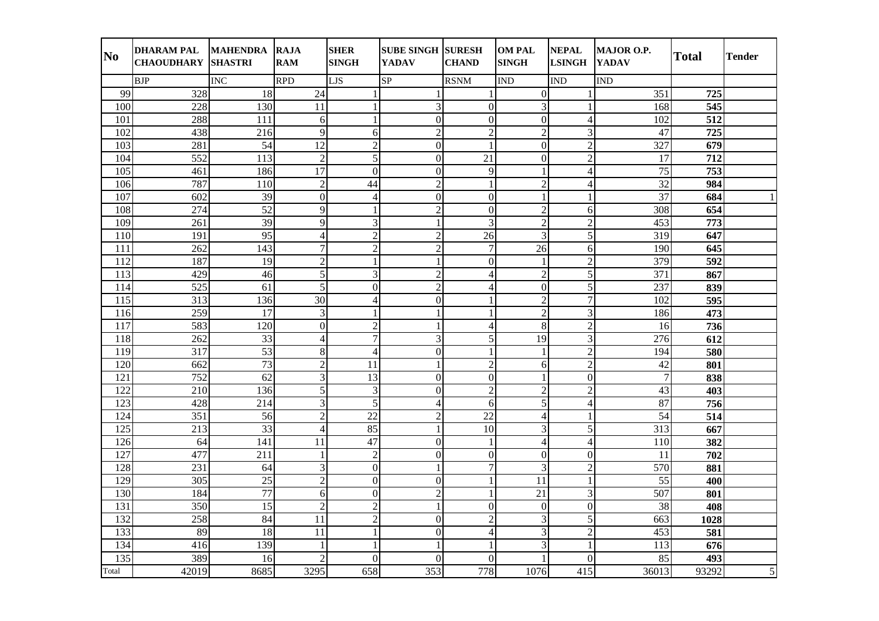| N <sub>0</sub> | DHARAM PAL MAHENDRA RAJA<br><b>CHAOUDHARY SHASTRI</b> |                  | <b>RAM</b>      | <b>SHER</b><br><b>SINGH</b> | <b>SUBE SINGH SURESH</b><br><b>YADAV</b> | <b>CHAND</b>             | <b>OM PAL</b><br><b>SINGH</b> | <b>NEPAL</b><br><b>LSINGH</b> | MAJOR O.P.<br><b>YADAV</b> | <b>Total</b>     | <b>Tender</b>  |
|----------------|-------------------------------------------------------|------------------|-----------------|-----------------------------|------------------------------------------|--------------------------|-------------------------------|-------------------------------|----------------------------|------------------|----------------|
|                | <b>BJP</b>                                            | <b>INC</b>       | <b>RPD</b>      | <b>LJS</b>                  | SP                                       | <b>RSNM</b>              | <b>IND</b>                    | <b>IND</b>                    | <b>IND</b>                 |                  |                |
| 99             | 328                                                   | 18               | $\overline{24}$ | $\mathbf{1}$                |                                          |                          | $\overline{0}$                |                               | 351                        | 725              |                |
| 100            | 228                                                   | 130              | 11              | $\mathbf{1}$                | 3                                        | $\boldsymbol{0}$         | 3                             | $\mathbf{1}$                  | 168                        | 545              |                |
| 101            | 288                                                   | 111              | 6               | $\mathbf{1}$                | $\mathbf{0}$                             | $\overline{0}$           | $\mathbf{0}$                  | $\overline{4}$                | 102                        | 512              |                |
| 102            | 438                                                   | 216              | 9               | 6                           | $\overline{2}$                           | $\overline{c}$           | $\overline{2}$                | $\overline{3}$                | 47                         | 725              |                |
| 103            | 281                                                   | 54               | 12              | $\overline{2}$              | $\mathbf{0}$                             | $\mathbf{1}$             | $\overline{0}$                | $\overline{c}$                | 327                        | 679              |                |
| 104            | 552                                                   | 113              | $\overline{c}$  | 5                           | $\overline{0}$                           | 21                       | $\overline{0}$                | $\overline{c}$                | 17                         | 712              |                |
| 105            | 461                                                   | 186              | $17\,$          | $\Omega$                    | $\mathbf{0}$                             | 9                        |                               | $\overline{4}$                | 75                         | 753              |                |
| 106            | 787                                                   | 110              | $\overline{2}$  | 44                          | $\sqrt{2}$                               | $\mathbf{1}$             | $\overline{c}$                | $\overline{4}$                | 32                         | 984              |                |
| 107            | 602                                                   | 39               | $\overline{0}$  | $\overline{4}$              | $\mathbf{0}$                             | $\overline{0}$           | $\mathbf{1}$                  | $\mathbf{1}$                  | $\overline{37}$            | 684              | $\mathbf{1}$   |
| 108            | 274                                                   | 52               | 9               | $\mathbf{1}$                | $\overline{2}$                           | $\mathbf{0}$             | $\overline{2}$                | 6                             | 308                        | 654              |                |
| 109            | 261                                                   | 39               | 9               | 3                           | 1                                        | 3                        | $\overline{c}$                | $\overline{c}$                | 453                        | 773              |                |
| 110            | 191                                                   | 95               | $\overline{4}$  | $\overline{2}$              | $\overline{2}$                           | 26                       | 3                             | 5                             | 319                        | 647              |                |
| 111            | 262                                                   | 143              | $\overline{7}$  | $\overline{2}$              | $\overline{2}$                           | $\overline{7}$           | 26                            | 6                             | 190                        | 645              |                |
| 112            | 187                                                   | 19               | $\overline{2}$  | $\mathbf{1}$                | $\mathbf{1}$                             | $\boldsymbol{0}$         |                               | $\overline{2}$                | 379                        | 592              |                |
| 113            | 429                                                   | 46               | $\sqrt{5}$      | 3                           | $\overline{2}$                           | $\overline{4}$           | $\overline{2}$                | $\overline{5}$                | 371                        | 867              |                |
| 114            | 525                                                   | 61               | 5               | $\mathbf{0}$                | $\overline{2}$                           | $\overline{4}$           | $\overline{0}$                | $\overline{5}$                | 237                        | 839              |                |
| 115            | $\overline{313}$                                      | 136              | $\overline{30}$ | $\overline{4}$              | $\theta$                                 | 1                        | $\overline{c}$                | $\overline{7}$                | 102                        | 595              |                |
| 116            | 259                                                   | 17               | $\mathfrak{Z}$  | $\mathbf{1}$                | 1                                        |                          | $\overline{2}$                | $\overline{3}$                | 186                        | 473              |                |
| 117            | 583                                                   | 120              | $\overline{0}$  | $\overline{2}$              |                                          | $\overline{\mathcal{A}}$ | 8                             | $\overline{2}$                | 16                         | 736              |                |
| 118            | 262                                                   | $\overline{33}$  | $\overline{4}$  | $\overline{7}$              | $\mathfrak{Z}$                           | $\overline{5}$           | 19                            | $\overline{3}$                | 276                        | 612              |                |
| 119            | 317                                                   | $\overline{53}$  | $\,8\,$         | $\overline{4}$              | $\mathbf{0}$                             | $\mathbf{1}$             | $\mathbf{1}$                  | $\overline{2}$                | 194                        | 580              |                |
| 120            | $\overline{662}$                                      | 73               | $\overline{2}$  | 11                          | $\mathbf{1}$                             | $\overline{2}$           | 6                             | $\overline{2}$                | 42                         | 801              |                |
| 121            | 752                                                   | $\overline{62}$  | $\overline{3}$  | $\overline{13}$             | $\mathbf{0}$                             | $\mathbf{0}$             | 1                             | $\overline{0}$                | $\overline{7}$             | 838              |                |
| 122            | 210                                                   | 136              | 5               | 3                           | $\boldsymbol{0}$                         | $\overline{2}$           | $\overline{c}$                | $\overline{c}$                | 43                         | 403              |                |
| 123            | 428                                                   | 214              | $\mathfrak{Z}$  | 5                           | $\overline{4}$                           | 6                        | $\overline{5}$                | $\overline{4}$                | 87                         | 756              |                |
| 124            | $\overline{351}$                                      | 56               | $\overline{2}$  | 22                          | $\sqrt{2}$                               | $\overline{22}$          | $\overline{4}$                | $\mathbf{1}$                  | $\overline{54}$            | 514              |                |
| 125            | $\overline{213}$                                      | $\overline{33}$  | $\overline{4}$  | 85                          | $\mathbf{1}$                             | $\overline{10}$          | 3                             | $\overline{5}$                | 313                        | 667              |                |
| 126            | 64                                                    | 141              | $\overline{11}$ | 47                          | $\mathbf{0}$                             |                          | $\overline{4}$                | $\overline{4}$                | 110                        | 382              |                |
| 127            | 477                                                   | $\overline{211}$ | $\mathbf{1}$    | $\overline{2}$              | $\overline{0}$                           | $\mathbf{0}$             | $\mathbf{0}$                  | $\overline{0}$                | 11                         | $\overline{702}$ |                |
| 128            | 231                                                   | 64               | 3               | $\mathbf{0}$                |                                          | $\overline{7}$           | 3                             | $\overline{c}$                | 570                        | 881              |                |
| 129            | 305                                                   | 25               | $\sqrt{2}$      | $\mathbf{0}$                | $\mathbf{0}$                             |                          | 11                            | $\mathbf{1}$                  | 55                         | 400              |                |
| 130            | 184                                                   | 77               | 6               | $\overline{0}$              | $\overline{2}$                           | 1                        | 21                            | $\overline{\mathbf{3}}$       | 507                        | 801              |                |
| 131            | 350                                                   | $\overline{15}$  | $\overline{2}$  | $\overline{2}$              | $\mathbf{1}$                             | $\boldsymbol{0}$         | $\mathbf{0}$                  | $\overline{0}$                | 38                         | 408              |                |
| 132            | 258                                                   | 84               | 11              | $\overline{2}$              | $\mathbf{0}$                             | $\overline{2}$           | $\overline{3}$                | $\overline{5}$                | 663                        | 1028             |                |
| 133            | 89                                                    | 18               | 11              | $\mathbf{1}$                | $\mathbf{0}$                             | 4                        | $\overline{3}$                | $\overline{c}$                | 453                        | 581              |                |
| 134            | 416                                                   | 139              | $\mathbf{1}$    | $\mathbf{1}$                | $\mathbf{1}$                             | $\mathbf{1}$             | 3                             | $\mathbf{1}$                  | 113                        | 676              |                |
| 135            | 389                                                   | 16               | $\overline{c}$  | $\mathbf{0}$                | $\mathbf{0}$                             | $\boldsymbol{0}$         |                               | $\overline{0}$                | 85                         | 493              |                |
| Total          | 42019                                                 | 8685             | 3295            | 658                         | 353                                      | 778                      | 1076                          | 415                           | 36013                      | 93292            | $\overline{5}$ |